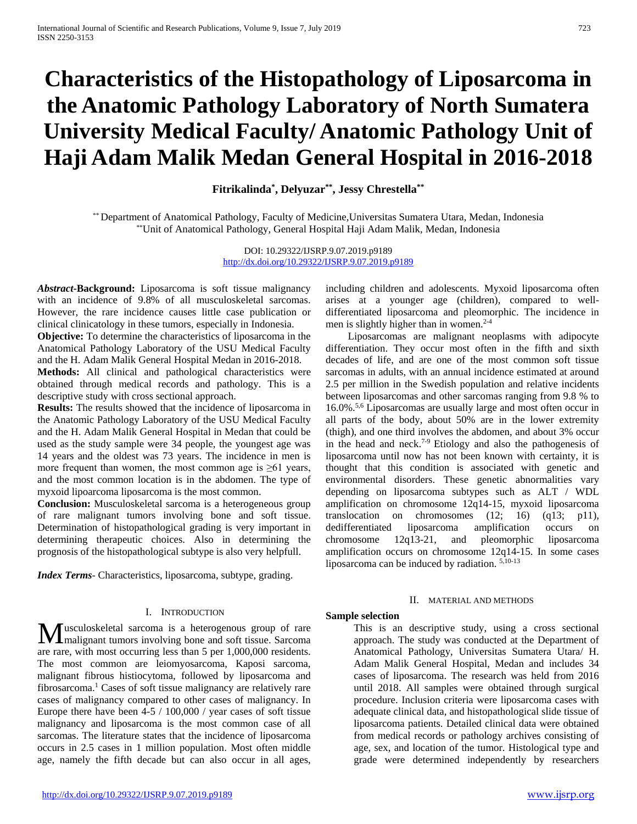# **Characteristics of the Histopathology of Liposarcoma in the Anatomic Pathology Laboratory of North Sumatera University Medical Faculty/ Anatomic Pathology Unit of Haji Adam Malik Medan General Hospital in 2016-2018**

## **Fitrikalinda\* , Delyuzar\*\*, Jessy Chrestella\*\***

\*\* Department of Anatomical Pathology, Faculty of Medicine,Universitas Sumatera Utara, Medan, Indonesia \*\*Unit of Anatomical Pathology, General Hospital Haji Adam Malik, Medan, Indonesia

> DOI: 10.29322/IJSRP.9.07.2019.p9189 <http://dx.doi.org/10.29322/IJSRP.9.07.2019.p9189>

*Abstract***-Background:** Liposarcoma is soft tissue malignancy with an incidence of 9.8% of all musculoskeletal sarcomas. However, the rare incidence causes little case publication or clinical clinicatology in these tumors, especially in Indonesia.

**Objective:** To determine the characteristics of liposarcoma in the Anatomical Pathology Laboratory of the USU Medical Faculty and the H. Adam Malik General Hospital Medan in 2016-2018.

**Methods:** All clinical and pathological characteristics were obtained through medical records and pathology. This is a descriptive study with cross sectional approach.

**Results:** The results showed that the incidence of liposarcoma in the Anatomic Pathology Laboratory of the USU Medical Faculty and the H. Adam Malik General Hospital in Medan that could be used as the study sample were 34 people, the youngest age was 14 years and the oldest was 73 years. The incidence in men is more frequent than women, the most common age is  $\geq 61$  years, and the most common location is in the abdomen. The type of myxoid lipoarcoma liposarcoma is the most common.

**Conclusion:** Musculoskeletal sarcoma is a heterogeneous group of rare malignant tumors involving bone and soft tissue. Determination of histopathological grading is very important in determining therapeutic choices. Also in determining the prognosis of the histopathological subtype is also very helpfull.

*Index Terms*- Characteristics, liposarcoma, subtype, grading.

#### I. INTRODUCTION

usculoskeletal sarcoma is a heterogenous group of rare **M**usculoskeletal sarcoma is a heterogenous group of rare<br>
malignant tumors involving bone and soft tissue. Sarcoma are rare, with most occurring less than 5 per 1,000,000 residents. The most common are leiomyosarcoma, Kaposi sarcoma, malignant fibrous histiocytoma, followed by liposarcoma and fibrosarcoma.1 Cases of soft tissue malignancy are relatively rare cases of malignancy compared to other cases of malignancy. In Europe there have been 4-5 / 100,000 / year cases of soft tissue malignancy and liposarcoma is the most common case of all sarcomas. The literature states that the incidence of liposarcoma occurs in 2.5 cases in 1 million population. Most often middle age, namely the fifth decade but can also occur in all ages,

including children and adolescents. Myxoid liposarcoma often arises at a younger age (children), compared to welldifferentiated liposarcoma and pleomorphic. The incidence in men is slightly higher than in women.<sup>2-4</sup>

Liposarcomas are malignant neoplasms with adipocyte differentiation. They occur most often in the fifth and sixth decades of life, and are one of the most common soft tissue sarcomas in adults, with an annual incidence estimated at around 2.5 per million in the Swedish population and relative incidents between liposarcomas and other sarcomas ranging from 9.8 % to 16.0%. 5,6 Liposarcomas are usually large and most often occur in all parts of the body, about 50% are in the lower extremity (thigh), and one third involves the abdomen, and about 3% occur in the head and neck. 7-9 Etiology and also the pathogenesis of liposarcoma until now has not been known with certainty, it is thought that this condition is associated with genetic and environmental disorders. These genetic abnormalities vary depending on liposarcoma subtypes such as ALT / WDL amplification on chromosome 12q14-15, myxoid liposarcoma translocation on chromosomes (12; 16) (q13; p11), dedifferentiated liposarcoma amplification occurs on chromosome 12q13-21, and pleomorphic liposarcoma amplification occurs on chromosome 12q14-15. In some cases liposarcoma can be induced by radiation. 5,10-13

#### II. MATERIAL AND METHODS

### **Sample selection**

This is an descriptive study, using a cross sectional approach. The study was conducted at the Department of Anatomical Pathology, Universitas Sumatera Utara/ H. Adam Malik General Hospital, Medan and includes 34 cases of liposarcoma. The research was held from 2016 until 2018. All samples were obtained through surgical procedure. Inclusion criteria were liposarcoma cases with adequate clinical data, and histopathological slide tissue of liposarcoma patients. Detailed clinical data were obtained from medical records or pathology archives consisting of age, sex, and location of the tumor. Histological type and grade were determined independently by researchers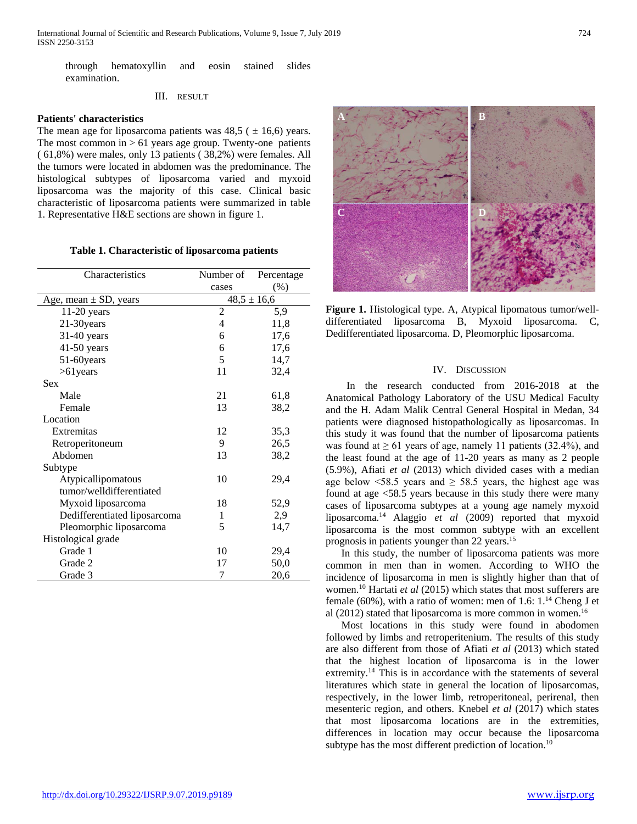through hematoxyllin and eosin stained slides examination.

III. RESULT

#### **Patients' characteristics**

The mean age for liposarcoma patients was  $48,5$  ( $\pm 16,6$ ) years. The most common in  $> 61$  years age group. Twenty-one patients ( 61,8%) were males, only 13 patients ( 38,2%) were females. All the tumors were located in abdomen was the predominance. The histological subtypes of liposarcoma varied and myxoid liposarcoma was the majority of this case. Clinical basic characteristic of liposarcoma patients were summarized in table 1. Representative H&E sections are shown in figure 1.

**Table 1. Characteristic of liposarcoma patients**

| Characteristics              | Number of       | Percentage |
|------------------------------|-----------------|------------|
|                              | cases           | $(\%)$     |
| Age, mean $\pm$ SD, years    | $48,5 \pm 16,6$ |            |
| $11-20$ years                | 2               | 5,9        |
| 21-30years                   | 4               | 11,8       |
| 31-40 years                  | 6               | 17,6       |
| $41-50$ years                | 6               | 17,6       |
| 51-60years                   | 5               | 14,7       |
| $>61$ years                  | 11              | 32,4       |
| Sex                          |                 |            |
| Male                         | 21              | 61,8       |
| Female                       | 13              | 38,2       |
| Location                     |                 |            |
| Extremitas                   | 12              | 35,3       |
| Retroperitoneum              | 9               | 26,5       |
| Abdomen                      | 13              | 38,2       |
| Subtype                      |                 |            |
| Atypicallipomatous           | 10              | 29,4       |
| tumor/welldifferentiated     |                 |            |
| Myxoid liposarcoma           | 18              | 52,9       |
| Dedifferentiated liposarcoma | 1               | 2,9        |
| Pleomorphic liposarcoma      | 5               | 14,7       |
| Histological grade           |                 |            |
| Grade 1                      | 10              | 29,4       |
| Grade 2                      | 17              | 50,0       |
| Grade 3                      | 7               | 20,6       |



**Figure 1.** Histological type. A, Atypical lipomatous tumor/welldifferentiated liposarcoma B, Myxoid liposarcoma. C, Dedifferentiated liposarcoma. D, Pleomorphic liposarcoma.

### IV. DISCUSSION

 In the research conducted from 2016-2018 at the Anatomical Pathology Laboratory of the USU Medical Faculty and the H. Adam Malik Central General Hospital in Medan, 34 patients were diagnosed histopathologically as liposarcomas. In this study it was found that the number of liposarcoma patients was found at  $\geq 61$  years of age, namely 11 patients (32.4%), and the least found at the age of 11-20 years as many as 2 people (5.9%), Afiati *et al* (2013) which divided cases with a median age below  $\leq 58.5$  years and  $\geq 58.5$  years, the highest age was found at age <58.5 years because in this study there were many cases of liposarcoma subtypes at a young age namely myxoid liposarcoma. <sup>14</sup> Alaggio *et al* (2009) reported that myxoid liposarcoma is the most common subtype with an excellent prognosis in patients younger than 22 years. 15

 In this study, the number of liposarcoma patients was more common in men than in women. According to WHO the incidence of liposarcoma in men is slightly higher than that of women. <sup>10</sup> Hartati *et al* (2015) which states that most sufferers are female (60%), with a ratio of women: men of 1.6: 1. <sup>14</sup> Cheng J et al (2012) stated that liposarcoma is more common in women.<sup>16</sup>

 Most locations in this study were found in abodomen followed by limbs and retroperitenium. The results of this study are also different from those of Afiati *et al* (2013) which stated that the highest location of liposarcoma is in the lower extremity.<sup>14</sup> This is in accordance with the statements of several literatures which state in general the location of liposarcomas, respectively, in the lower limb, retroperitoneal, perirenal, then mesenteric region, and others. Knebel *et al* (2017) which states that most liposarcoma locations are in the extremities, differences in location may occur because the liposarcoma subtype has the most different prediction of location.<sup>10</sup>